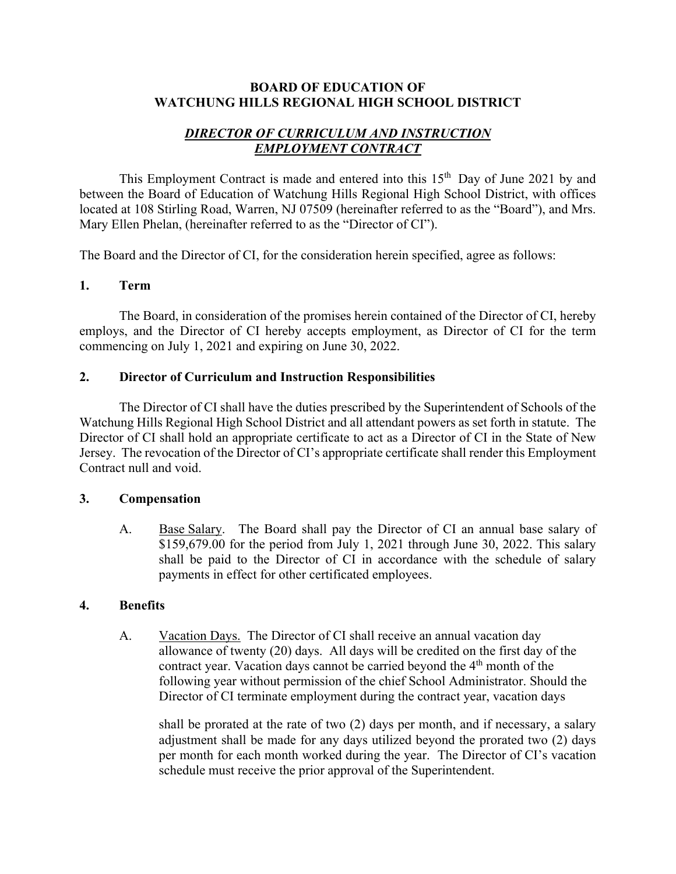#### **BOARD OF EDUCATION OF WATCHUNG HILLS REGIONAL HIGH SCHOOL DISTRICT**

# *DIRECTOR OF CURRICULUM AND INSTRUCTION EMPLOYMENT CONTRACT*

This Employment Contract is made and entered into this  $15<sup>th</sup>$  Day of June 2021 by and between the Board of Education of Watchung Hills Regional High School District, with offices located at 108 Stirling Road, Warren, NJ 07509 (hereinafter referred to as the "Board"), and Mrs. Mary Ellen Phelan, (hereinafter referred to as the "Director of CI").

The Board and the Director of CI, for the consideration herein specified, agree as follows:

#### **1. Term**

 The Board, in consideration of the promises herein contained of the Director of CI, hereby employs, and the Director of CI hereby accepts employment, as Director of CI for the term commencing on July 1, 2021 and expiring on June 30, 2022.

## **2. Director of Curriculum and Instruction Responsibilities**

 The Director of CI shall have the duties prescribed by the Superintendent of Schools of the Watchung Hills Regional High School District and all attendant powers as set forth in statute. The Director of CI shall hold an appropriate certificate to act as a Director of CI in the State of New Jersey. The revocation of the Director of CI's appropriate certificate shall render this Employment Contract null and void.

#### **3. Compensation**

 A. Base Salary. The Board shall pay the Director of CI an annual base salary of  $$159,679.00$  for the period from July 1, 2021 through June 30, 2022. This salary shall be paid to the Director of CI in accordance with the schedule of salary payments in effect for other certificated employees.

#### **4. Benefits**

A. Vacation Days. The Director of CI shall receive an annual vacation day allowance of twenty (20) days. All days will be credited on the first day of the contract year. Vacation days cannot be carried beyond the  $4<sup>th</sup>$  month of the following year without permission of the chief School Administrator. Should the Director of CI terminate employment during the contract year, vacation days

 shall be prorated at the rate of two (2) days per month, and if necessary, a salary adjustment shall be made for any days utilized beyond the prorated two (2) days per month for each month worked during the year. The Director of CI's vacation schedule must receive the prior approval of the Superintendent.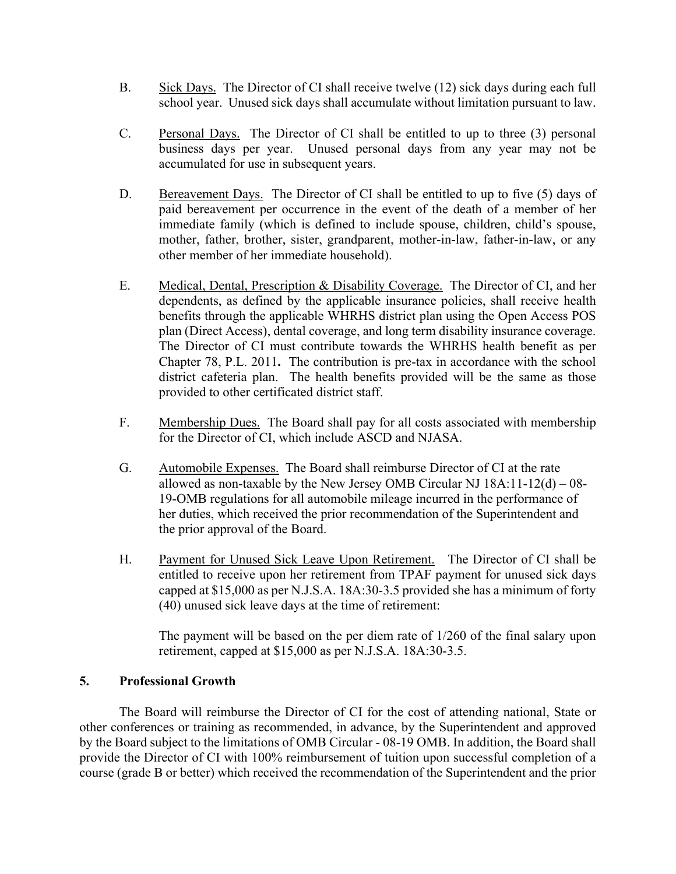- B. Sick Days. The Director of CI shall receive twelve (12) sick days during each full school year. Unused sick days shall accumulate without limitation pursuant to law.
- C. Personal Days. The Director of CI shall be entitled to up to three (3) personal business days per year. Unused personal days from any year may not be accumulated for use in subsequent years.
- D. Bereavement Days. The Director of CI shall be entitled to up to five (5) days of paid bereavement per occurrence in the event of the death of a member of her immediate family (which is defined to include spouse, children, child's spouse, mother, father, brother, sister, grandparent, mother-in-law, father-in-law, or any other member of her immediate household).
- E. Medical, Dental, Prescription & Disability Coverage. The Director of CI, and her dependents, as defined by the applicable insurance policies, shall receive health benefits through the applicable WHRHS district plan using the Open Access POS plan (Direct Access), dental coverage, and long term disability insurance coverage. The Director of CI must contribute towards the WHRHS health benefit as per Chapter 78, P.L. 2011**.** The contribution is pre-tax in accordance with the school district cafeteria plan. The health benefits provided will be the same as those provided to other certificated district staff.
- F. Membership Dues. The Board shall pay for all costs associated with membership for the Director of CI, which include ASCD and NJASA.
- G. Automobile Expenses. The Board shall reimburse Director of CI at the rate allowed as non-taxable by the New Jersey OMB Circular NJ  $18A:11-12(d) - 08-$ 19-OMB regulations for all automobile mileage incurred in the performance of her duties, which received the prior recommendation of the Superintendent and the prior approval of the Board.
- H. Payment for Unused Sick Leave Upon Retirement. The Director of CI shall be entitled to receive upon her retirement from TPAF payment for unused sick days capped at \$15,000 as per N.J.S.A. 18A:30-3.5 provided she has a minimum of forty (40) unused sick leave days at the time of retirement:

 The payment will be based on the per diem rate of 1/260 of the final salary upon retirement, capped at \$15,000 as per N.J.S.A. 18A:30-3.5.

#### **5. Professional Growth**

The Board will reimburse the Director of CI for the cost of attending national, State or other conferences or training as recommended, in advance, by the Superintendent and approved by the Board subject to the limitations of OMB Circular - 08-19 OMB. In addition, the Board shall provide the Director of CI with 100% reimbursement of tuition upon successful completion of a course (grade B or better) which received the recommendation of the Superintendent and the prior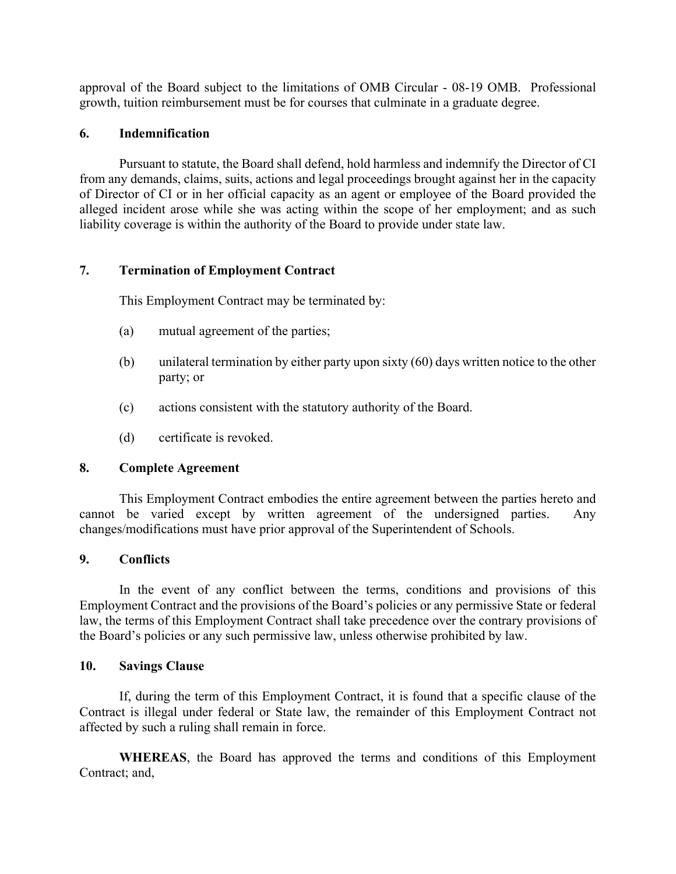approval of the Board subject to the limitations of OMB Circular - 08-19 OMB. Professional growth, tuition reimbursement must be for courses that culminate in a graduate degree.

## **6. Indemnification**

 Pursuant to statute, the Board shall defend, hold harmless and indemnify the Director of CI from any demands, claims, suits, actions and legal proceedings brought against her in the capacity of Director of CI or in her official capacity as an agent or employee of the Board provided the alleged incident arose while she was acting within the scope of her employment; and as such liability coverage is within the authority of the Board to provide under state law.

## **7. Termination of Employment Contract**

This Employment Contract may be terminated by:

- (a) mutual agreement of the parties;
- (b) unilateral termination by either party upon sixty (60) days written notice to the other party; or
- (c) actions consistent with the statutory authority of the Board.
- (d) certificate is revoked.

#### **8. Complete Agreement**

 This Employment Contract embodies the entire agreement between the parties hereto and cannot be varied except by written agreement of the undersigned parties. Any changes/modifications must have prior approval of the Superintendent of Schools.

#### **9. Conflicts**

 In the event of any conflict between the terms, conditions and provisions of this Employment Contract and the provisions of the Board's policies or any permissive State or federal law, the terms of this Employment Contract shall take precedence over the contrary provisions of the Board's policies or any such permissive law, unless otherwise prohibited by law.

#### **10. Savings Clause**

 If, during the term of this Employment Contract, it is found that a specific clause of the Contract is illegal under federal or State law, the remainder of this Employment Contract not affected by such a ruling shall remain in force.

 **WHEREAS**, the Board has approved the terms and conditions of this Employment Contract; and,